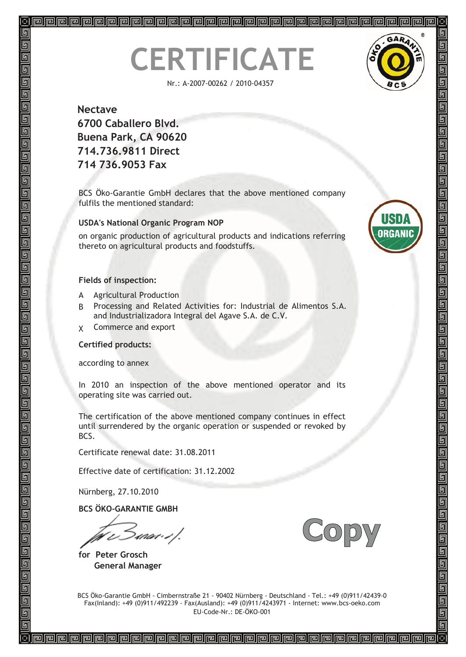# **CERTIFICATE**

Nr.: A-2007-00262 / 2010-04357



呞 呵

### **Nectave 6700 Caballero Blvd. Buena Park, CA 90620 714.736.9811 Direct 714 736.9053 Fax**

BCS Öko-Garantie GmbH declares that the above mentioned company fulfils the mentioned standard:

#### **USDA's National Organic Program NOP**

on organic production of agricultural products and indications referring thereto on agricultural products and foodstuffs.

#### **Fields of inspection:**

- A Agricultural Production
- B Processing and Related Activities for: Industrial de Alimentos S.A. and Industrializadora Integral del Agave S.A. de C.V.
- X Commerce and export

#### **Certified products:**

according to annex

In 2010 an inspection of the above mentioned operator and its operating site was carried out.

The certification of the above mentioned company continues in effect until surrendered by the organic operation or suspended or revoked by BCS.

Certificate renewal date: 31.08.2011

Effective date of certification: 31.12.2002

Nürnberg, 27.10.2010

**BCS ÖKO-GARANTIE GMBH**

rnor : : /.

**for Peter Grosch General Manager**